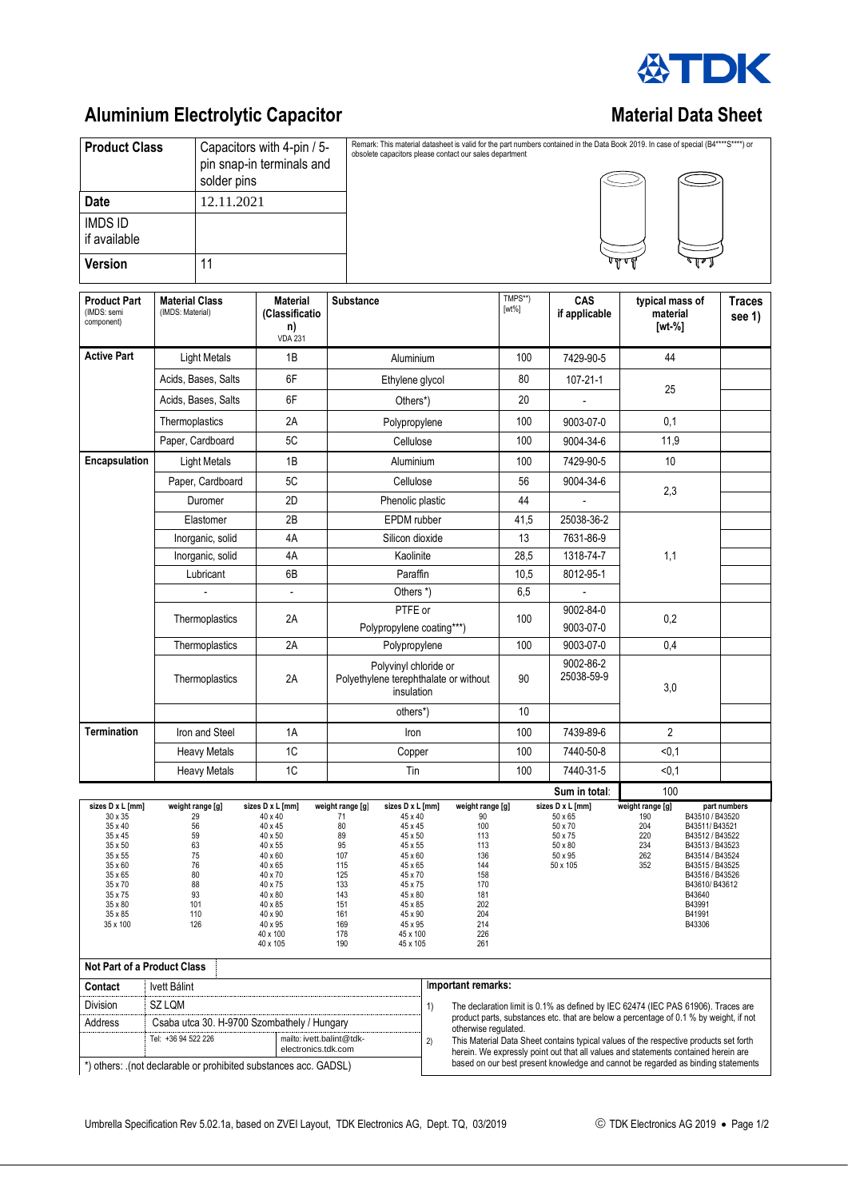

## **Aluminium Electrolytic Capacitor Material Data Sheet** Material Data Sheet

| <b>Product Class</b>                             |                                           | Capacitors with 4-pin / 5-<br>pin snap-in terminals and<br>solder pins |                                                |  | Remark: This material datasheet is valid for the part numbers contained in the Data Book 2019. In case of special (B4****S****) or<br>obsolete capacitors please contact our sales department |                     |                             |                                       |         |                         |
|--------------------------------------------------|-------------------------------------------|------------------------------------------------------------------------|------------------------------------------------|--|-----------------------------------------------------------------------------------------------------------------------------------------------------------------------------------------------|---------------------|-----------------------------|---------------------------------------|---------|-------------------------|
| <b>Date</b>                                      |                                           | 12.11.2021                                                             |                                                |  |                                                                                                                                                                                               |                     |                             |                                       |         |                         |
| <b>IMDS ID</b><br>if available                   |                                           |                                                                        |                                                |  |                                                                                                                                                                                               |                     |                             |                                       |         |                         |
| <b>Version</b>                                   |                                           |                                                                        |                                                |  |                                                                                                                                                                                               |                     |                             | √षण∾                                  | 8 T Z J |                         |
| <b>Product Part</b><br>(IMDS: semi<br>component) | <b>Material Class</b><br>(IMDS: Material) |                                                                        | Material<br>(Classificatio<br>n)<br>$1/DA$ 004 |  | <b>Substance</b>                                                                                                                                                                              | TMPS**)<br>$[wt\%]$ | <b>CAS</b><br>if applicable | typical mass of<br>material<br>[wt %] |         | <b>Traces</b><br>see 1) |

|                                                                                                                                                              |                                                                                             | n)<br><b>VDA 231</b>                                                                                                                                                         |                                                                                                                |                                                                                                                                                                                                                                                                                                   |                                                                                                               |                                                                                     | [wt %]                                                                                                                                                                                                                                                                 |  |  |  |
|--------------------------------------------------------------------------------------------------------------------------------------------------------------|---------------------------------------------------------------------------------------------|------------------------------------------------------------------------------------------------------------------------------------------------------------------------------|----------------------------------------------------------------------------------------------------------------|---------------------------------------------------------------------------------------------------------------------------------------------------------------------------------------------------------------------------------------------------------------------------------------------------|---------------------------------------------------------------------------------------------------------------|-------------------------------------------------------------------------------------|------------------------------------------------------------------------------------------------------------------------------------------------------------------------------------------------------------------------------------------------------------------------|--|--|--|
| <b>Active Part</b>                                                                                                                                           | <b>Light Metals</b>                                                                         | 1B                                                                                                                                                                           |                                                                                                                | Aluminium                                                                                                                                                                                                                                                                                         |                                                                                                               | 7429-90-5                                                                           | 44                                                                                                                                                                                                                                                                     |  |  |  |
|                                                                                                                                                              | Acids, Bases, Salts                                                                         | 6F                                                                                                                                                                           | Ethylene glycol                                                                                                |                                                                                                                                                                                                                                                                                                   | 80<br>20                                                                                                      |                                                                                     | 25                                                                                                                                                                                                                                                                     |  |  |  |
|                                                                                                                                                              | Acids, Bases, Salts                                                                         | 6F<br>Others*)                                                                                                                                                               |                                                                                                                |                                                                                                                                                                                                                                                                                                   |                                                                                                               |                                                                                     |                                                                                                                                                                                                                                                                        |  |  |  |
|                                                                                                                                                              | Thermoplastics                                                                              | 2Α                                                                                                                                                                           |                                                                                                                | Polypropylene                                                                                                                                                                                                                                                                                     | 100                                                                                                           | 9003-07-0                                                                           | 0,1                                                                                                                                                                                                                                                                    |  |  |  |
|                                                                                                                                                              | Paper, Cardboard                                                                            | 5C                                                                                                                                                                           |                                                                                                                | Cellulose                                                                                                                                                                                                                                                                                         | 100                                                                                                           | 9004-34-6                                                                           | 11,9                                                                                                                                                                                                                                                                   |  |  |  |
| <b>Encapsulation</b>                                                                                                                                         | <b>Light Metals</b>                                                                         | 1B                                                                                                                                                                           |                                                                                                                | Aluminium                                                                                                                                                                                                                                                                                         | 100                                                                                                           | 7429-90-5                                                                           | 10                                                                                                                                                                                                                                                                     |  |  |  |
|                                                                                                                                                              | Paper, Cardboard                                                                            | 5C                                                                                                                                                                           |                                                                                                                | Cellulose                                                                                                                                                                                                                                                                                         | 56                                                                                                            | 9004-34-6                                                                           |                                                                                                                                                                                                                                                                        |  |  |  |
|                                                                                                                                                              | Duromer                                                                                     | 2D                                                                                                                                                                           |                                                                                                                | Phenolic plastic                                                                                                                                                                                                                                                                                  | 44                                                                                                            |                                                                                     | 2,3                                                                                                                                                                                                                                                                    |  |  |  |
|                                                                                                                                                              | Elastomer                                                                                   | 2B                                                                                                                                                                           |                                                                                                                | EPDM rubber                                                                                                                                                                                                                                                                                       | 41,5                                                                                                          | 25038-36-2                                                                          |                                                                                                                                                                                                                                                                        |  |  |  |
|                                                                                                                                                              | Inorganic, solid                                                                            | 4A                                                                                                                                                                           | Silicon dioxide                                                                                                |                                                                                                                                                                                                                                                                                                   | 13                                                                                                            | 7631-86-9                                                                           |                                                                                                                                                                                                                                                                        |  |  |  |
|                                                                                                                                                              | Inorganic, solid                                                                            | 4A                                                                                                                                                                           |                                                                                                                | Kaolinite                                                                                                                                                                                                                                                                                         | 28,5                                                                                                          | 1318-74-7                                                                           | 1,1                                                                                                                                                                                                                                                                    |  |  |  |
|                                                                                                                                                              | Lubricant                                                                                   | 6B                                                                                                                                                                           |                                                                                                                | Paraffin                                                                                                                                                                                                                                                                                          | 10,5                                                                                                          | 8012-95-1                                                                           |                                                                                                                                                                                                                                                                        |  |  |  |
|                                                                                                                                                              |                                                                                             | $\blacksquare$                                                                                                                                                               |                                                                                                                | Others *)                                                                                                                                                                                                                                                                                         | 6,5                                                                                                           |                                                                                     |                                                                                                                                                                                                                                                                        |  |  |  |
|                                                                                                                                                              | Thermoplastics                                                                              | 2A                                                                                                                                                                           |                                                                                                                | PTFE or<br>Polypropylene coating***)                                                                                                                                                                                                                                                              | 100                                                                                                           | 9002-84-0<br>9003-07-0                                                              | 0,2                                                                                                                                                                                                                                                                    |  |  |  |
|                                                                                                                                                              | Thermoplastics                                                                              | 2A                                                                                                                                                                           |                                                                                                                | Polypropylene                                                                                                                                                                                                                                                                                     | 100                                                                                                           | 9003-07-0                                                                           | 0,4                                                                                                                                                                                                                                                                    |  |  |  |
|                                                                                                                                                              | Thermoplastics                                                                              | 2A                                                                                                                                                                           |                                                                                                                | Polyvinyl chloride or<br>Polyethylene terephthalate or without<br>insulation                                                                                                                                                                                                                      | 90                                                                                                            | 9002-86-2<br>25038-59-9                                                             | 3,0                                                                                                                                                                                                                                                                    |  |  |  |
|                                                                                                                                                              |                                                                                             |                                                                                                                                                                              |                                                                                                                | others*)                                                                                                                                                                                                                                                                                          | 10                                                                                                            |                                                                                     |                                                                                                                                                                                                                                                                        |  |  |  |
| <b>Termination</b>                                                                                                                                           | Iron and Steel                                                                              | 1A                                                                                                                                                                           |                                                                                                                | Iron                                                                                                                                                                                                                                                                                              | 100                                                                                                           | 7439-89-6                                                                           | $\overline{2}$                                                                                                                                                                                                                                                         |  |  |  |
|                                                                                                                                                              | <b>Heavy Metals</b>                                                                         | 1C                                                                                                                                                                           |                                                                                                                | Copper                                                                                                                                                                                                                                                                                            | 100                                                                                                           | 7440-50-8                                                                           | < 0.1                                                                                                                                                                                                                                                                  |  |  |  |
|                                                                                                                                                              | <b>Heavy Metals</b>                                                                         | 1C                                                                                                                                                                           |                                                                                                                | Tin                                                                                                                                                                                                                                                                                               | 100                                                                                                           | 7440-31-5                                                                           | < 0, 1                                                                                                                                                                                                                                                                 |  |  |  |
|                                                                                                                                                              |                                                                                             |                                                                                                                                                                              |                                                                                                                |                                                                                                                                                                                                                                                                                                   |                                                                                                               | Sum in total:                                                                       | 100                                                                                                                                                                                                                                                                    |  |  |  |
| sizes D x L [mm]<br>30 x 35<br>35 x 40<br>35 x 45<br>35 x 50<br>35 x 55<br>35 x 60<br>35 x 65<br>35 x 70<br>35 x 75<br>35 x 80<br>$35 \times 85$<br>35 x 100 | weight range [g]<br>29<br>56<br>59<br>63<br>75<br>76<br>80<br>88<br>93<br>101<br>110<br>126 | sizes D x L [mm]<br>40 x 40<br>40 x 45<br>40 x 50<br>40 x 55<br>40 x 60<br>40 x 65<br>40 x 70<br>40 x 75<br>40 x 80<br>40 x 85<br>40 x 90<br>40 x 95<br>40 x 100<br>40 x 105 | weight range [g]<br>71<br>80<br>89<br>95<br>107<br>115<br>125<br>133<br>143<br>151<br>161<br>169<br>178<br>190 | sizes D x L [mm]<br>weight range [g]<br>45 x 40<br>90<br>100<br>45 x 45<br>45 x 50<br>113<br>45 x 55<br>113<br>45 x 60<br>136<br>45 x 65<br>144<br>45 x 70<br>158<br>170<br>45 x 75<br>45 x 80<br>181<br>45 x 85<br>202<br>204<br>45 x 90<br>214<br>45 x 95<br>226<br>45 x 100<br>261<br>45 x 105 |                                                                                                               | sizes D x L [mm]<br>50 x 65<br>50 x 70<br>50 x 75<br>50 x 80<br>50 x 95<br>50 x 105 | weight range [g]<br>part numbers<br>B43510 / B43520<br>190<br>204<br>B43511/B43521<br>220<br>B43512 / B43522<br>234<br>B43513 / B43523<br>262<br>B43514 / B43524<br>352<br>B43515 / B43525<br>B43516 / B43526<br>B43610/B43612<br>B43640<br>B43991<br>B41991<br>B43306 |  |  |  |
| Not Part of a Product Class                                                                                                                                  |                                                                                             |                                                                                                                                                                              |                                                                                                                |                                                                                                                                                                                                                                                                                                   |                                                                                                               |                                                                                     |                                                                                                                                                                                                                                                                        |  |  |  |
| Contact                                                                                                                                                      | Ivett Bálint                                                                                | Important remarks:                                                                                                                                                           |                                                                                                                |                                                                                                                                                                                                                                                                                                   |                                                                                                               |                                                                                     |                                                                                                                                                                                                                                                                        |  |  |  |
| <b>Division</b>                                                                                                                                              | <b>SZ LOM</b>                                                                               |                                                                                                                                                                              |                                                                                                                | 1)<br>The declaration limit is 0.1% as defined by IEC 62474 (IEC PAS 61906). Traces are                                                                                                                                                                                                           |                                                                                                               |                                                                                     |                                                                                                                                                                                                                                                                        |  |  |  |
| <b>Address</b>                                                                                                                                               | Csaba utca 30. H-9700 Szombathely / Hungary                                                 |                                                                                                                                                                              |                                                                                                                |                                                                                                                                                                                                                                                                                                   | product parts, substances etc. that are below a percentage of 0.1 % by weight, if not<br>otherwise regulated. |                                                                                     |                                                                                                                                                                                                                                                                        |  |  |  |
|                                                                                                                                                              | Tel: +36 94 522 226                                                                         | mailto: ivett.balint@tdk-<br>electronics.tdk.com                                                                                                                             |                                                                                                                | This Material Data Sheet contains typical values of the respective products set forth<br>2)<br>harain. We expressly noint out that all values and statements contained berein are                                                                                                                 |                                                                                                               |                                                                                     |                                                                                                                                                                                                                                                                        |  |  |  |

2) This Material Data Sheet contains typical values of the respective products set forth herein. We expressly point out that all values and statements contained herein are based on our best present knowledge and cannot be regarded as binding statements

\*) others: .(not declarable or prohibited substances acc. GADSL)